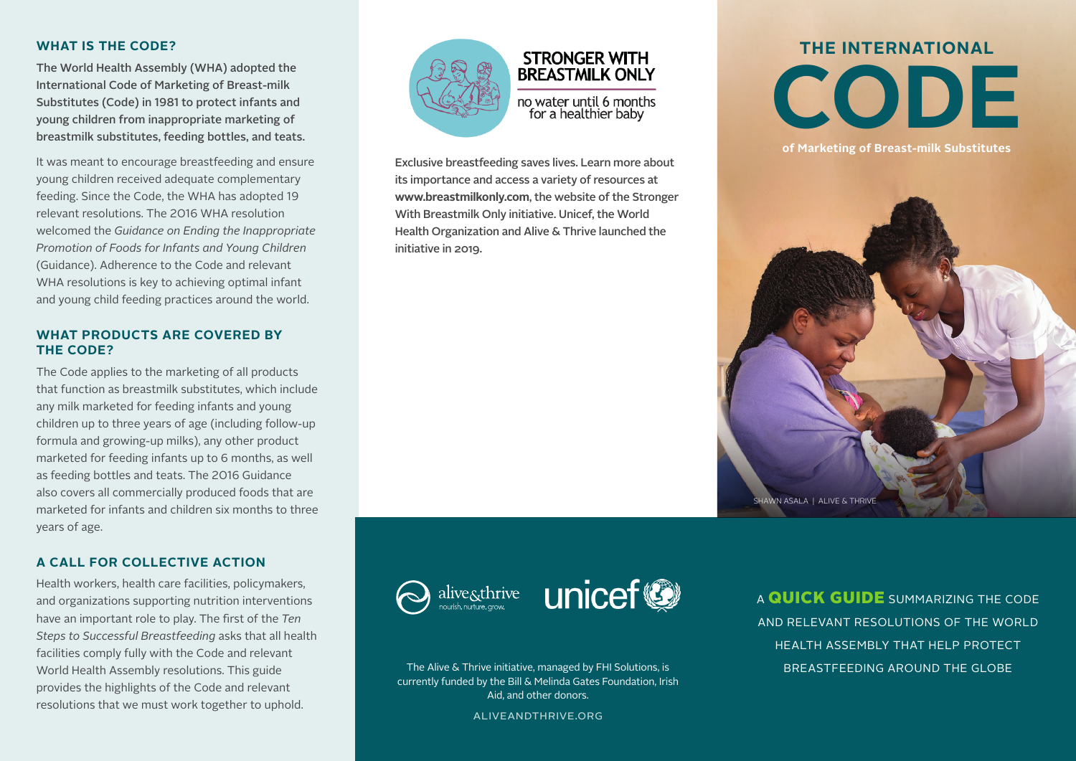#### **WHAT IS THE CODE?**

The World Health Assembly (WHA) adopted the International Code of Marketing of Breast-milk Substitutes (Code) in 1981 to protect infants and young children from inappropriate marketing of breastmilk substitutes, feeding bottles, and teats.

It was meant to encourage breastfeeding and ensure young children received adequate complementary feeding. Since the Code, the WHA has adopted 19 relevant resolutions. The 2016 WHA resolution welcomed the *Guidance on Ending the Inappropriate Promotion of Foods for Infants and Young Children*  (Guidance). Adherence to the Code and relevant WHA resolutions is key to achieving optimal infant and young child feeding practices around the world.

#### **WHAT PRODUCTS ARE COVERED BY THE CODE?**

The Code applies to the marketing of all products that function as breastmilk substitutes, which include any milk marketed for feeding infants and young children up to three years of age (including follow-up formula and growing-up milks), any other product marketed for feeding infants up to 6 months, as well as feeding bottles and teats. The 2016 Guidance also covers all commercially produced foods that are marketed for infants and children six months to three years of age.

#### **A CALL FOR COLLECTIVE ACTION**

Health workers, health care facilities, policymakers, and organizations supporting nutrition interventions have an important role to play. The first of the *Ten Steps to Successful Breastfeeding* asks that all health facilities comply fully with the Code and relevant World Health Assembly resolutions. This guide provides the highlights of the Code and relevant resolutions that we must work together to uphold.



### **STRONGER WITH BREASTMILK ONLY** no water until 6 months for a healthier baby

Exclusive breastfeeding saves lives. Learn more about its importance and access a variety of resources at **www.breastmilkonly.com**, the website of the Stronger With Breastmilk Only initiative. Unicef, the World Health Organization and Alive & Thrive launched the initiative in 2019.

# **THE INTERNATIONAL CODE**

**of Marketing of Breast-milk Substitutes** 







The Alive & Thrive initiative, managed by FHI Solutions, is currently funded by the Bill & Melinda Gates Foundation, Irish Aid, and other donors.

aliveandthrive.org

A **QUICK GUIDE** SUMMARIZING THE CODE AND RELEVANT RESOLUTIONS OF THE WORLD HEALTH ASSEMBLY THAT HELP PROTECT BREASTFEEDING AROUND THE GLOBE